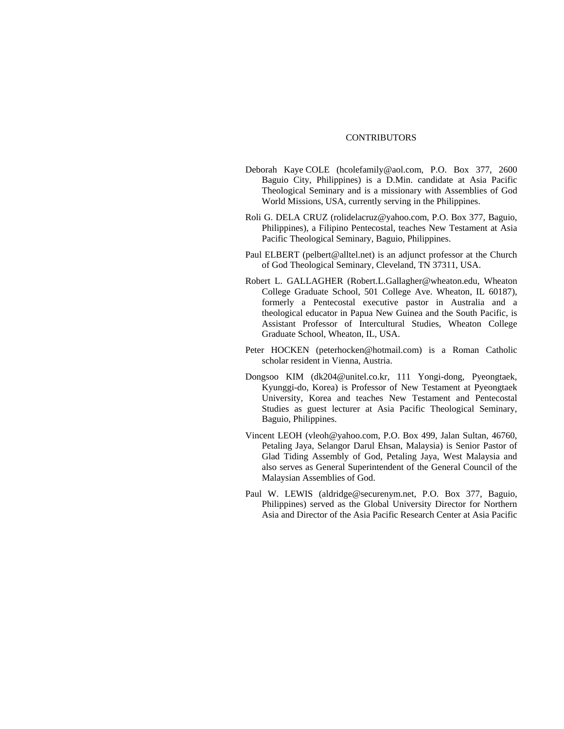## CONTRIBUTORS

- Deborah Kaye COLE (hcolefamily@aol.com, P.O. Box 377, 2600 Baguio City, Philippines) is a D.Min. candidate at Asia Pacific Theological Seminary and is a missionary with Assemblies of God World Missions, USA, currently serving in the Philippines.
- Roli G. DELA CRUZ (rolidelacruz@yahoo.com, P.O. Box 377, Baguio, Philippines), a Filipino Pentecostal, teaches New Testament at Asia Pacific Theological Seminary, Baguio, Philippines.
- Paul ELBERT (pelbert@alltel.net) is an adjunct professor at the Church of God Theological Seminary, Cleveland, TN 37311, USA.
- Robert L. GALLAGHER (Robert.L.Gallagher@wheaton.edu, Wheaton College Graduate School, 501 College Ave. Wheaton, IL 60187), formerly a Pentecostal executive pastor in Australia and a theological educator in Papua New Guinea and the South Pacific, is Assistant Professor of Intercultural Studies, Wheaton College Graduate School, Wheaton, IL, USA.
- Peter HOCKEN (peterhocken@hotmail.com) is a Roman Catholic scholar resident in Vienna, Austria.
- Dongsoo KIM (dk204@unitel.co.kr, 111 Yongi-dong, Pyeongtaek, Kyunggi-do, Korea) is Professor of New Testament at Pyeongtaek University, Korea and teaches New Testament and Pentecostal Studies as guest lecturer at Asia Pacific Theological Seminary, Baguio, Philippines.
- Vincent LEOH (vleoh@yahoo.com, P.O. Box 499, Jalan Sultan, 46760, Petaling Jaya, Selangor Darul Ehsan, Malaysia) is Senior Pastor of Glad Tiding Assembly of God, Petaling Jaya, West Malaysia and also serves as General Superintendent of the General Council of the Malaysian Assemblies of God.
- Paul W. LEWIS (aldridge@securenym.net, P.O. Box 377, Baguio, Philippines) served as the Global University Director for Northern Asia and Director of the Asia Pacific Research Center at Asia Pacific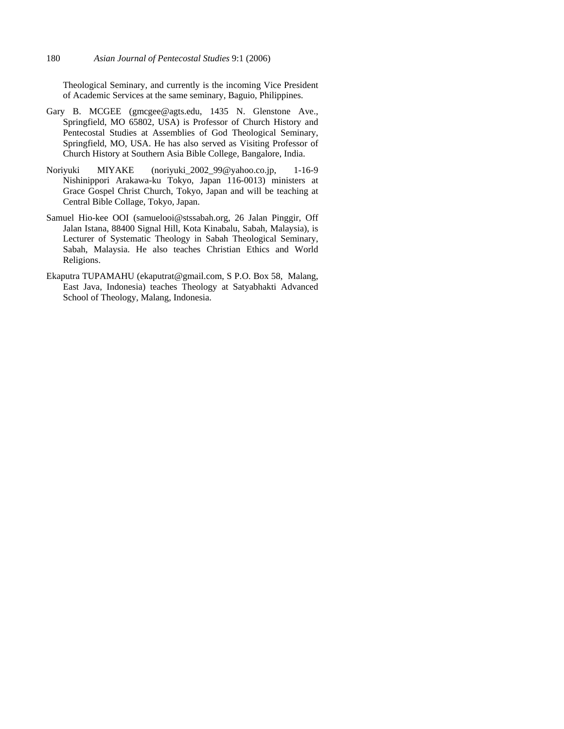Theological Seminary, and currently is the incoming Vice President of Academic Services at the same seminary, Baguio, Philippines.

- Gary B. MCGEE (gmcgee@agts.edu, 1435 N. Glenstone Ave., Springfield, MO 65802, USA) is Professor of Church History and Pentecostal Studies at Assemblies of God Theological Seminary, Springfield, MO, USA. He has also served as Visiting Professor of Church History at Southern Asia Bible College, Bangalore, India.
- Noriyuki MIYAKE (noriyuki\_2002\_99@yahoo.co.jp, 1-16-9 Nishinippori Arakawa-ku Tokyo, Japan 116-0013) ministers at Grace Gospel Christ Church, Tokyo, Japan and will be teaching at Central Bible Collage, Tokyo, Japan.
- Samuel Hio-kee OOI (samuelooi@stssabah.org, 26 Jalan Pinggir, Off Jalan Istana, 88400 Signal Hill, Kota Kinabalu, Sabah, Malaysia), is Lecturer of Systematic Theology in Sabah Theological Seminary, Sabah, Malaysia. He also teaches Christian Ethics and World Religions.
- Ekaputra TUPAMAHU (ekaputrat@gmail.com, S P.O. Box 58, Malang, East Java, Indonesia) teaches Theology at Satyabhakti Advanced School of Theology, Malang, Indonesia.